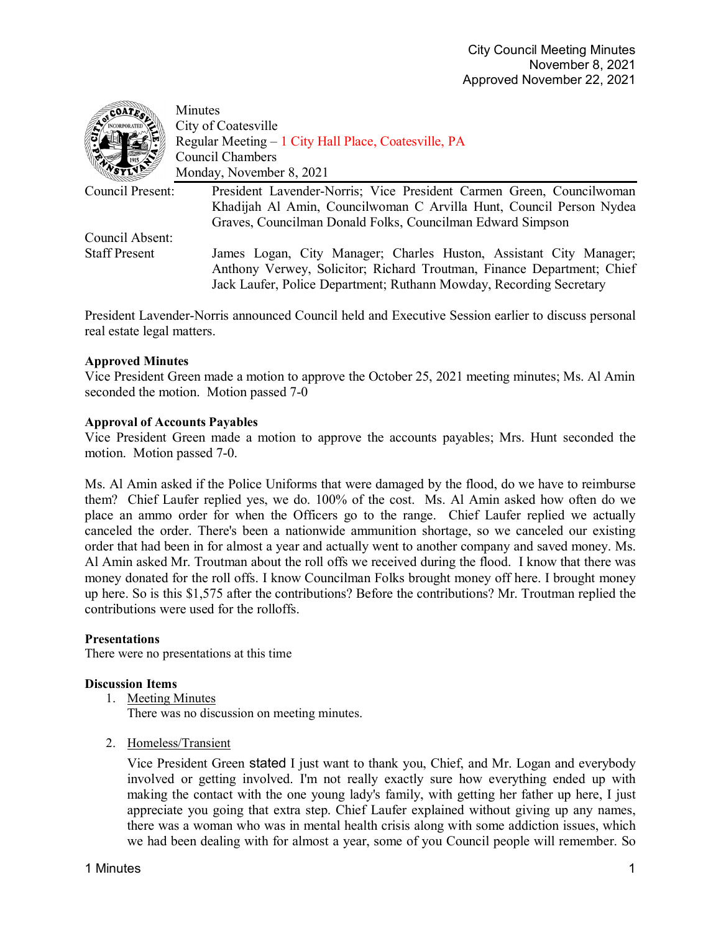| COATE                | Minutes                                                                                                                                                                                                             |
|----------------------|---------------------------------------------------------------------------------------------------------------------------------------------------------------------------------------------------------------------|
|                      | City of Coatesville                                                                                                                                                                                                 |
|                      | Regular Meeting – 1 City Hall Place, Coatesville, PA                                                                                                                                                                |
|                      | <b>Council Chambers</b>                                                                                                                                                                                             |
|                      | Monday, November 8, 2021                                                                                                                                                                                            |
| Council Present:     | President Lavender-Norris; Vice President Carmen Green, Councilwoman                                                                                                                                                |
|                      | Khadijah Al Amin, Councilwoman C Arvilla Hunt, Council Person Nydea                                                                                                                                                 |
|                      | Graves, Councilman Donald Folks, Councilman Edward Simpson                                                                                                                                                          |
| Council Absent:      |                                                                                                                                                                                                                     |
| <b>Staff Present</b> | James Logan, City Manager; Charles Huston, Assistant City Manager;<br>Anthony Verwey, Solicitor; Richard Troutman, Finance Department; Chief<br>Jack Laufer, Police Department; Ruthann Mowday, Recording Secretary |

President Lavender-Norris announced Council held and Executive Session earlier to discuss personal real estate legal matters.

# **Approved Minutes**

-<sup>-</sup>

Vice President Green made a motion to approve the October 25, 2021 meeting minutes; Ms. Al Amin seconded the motion. Motion passed 7-0

# **Approval of Accounts Payables**

Vice President Green made a motion to approve the accounts payables; Mrs. Hunt seconded the motion. Motion passed 7-0.

Ms. Al Amin asked if the Police Uniforms that were damaged by the flood, do we have to reimburse them? Chief Laufer replied yes, we do. 100% of the cost. Ms. Al Amin asked how often do we place an ammo order for when the Officers go to the range. Chief Laufer replied we actually canceled the order. There's been a nationwide ammunition shortage, so we canceled our existing order that had been in for almost a year and actually went to another company and saved money. Ms. Al Amin asked Mr. Troutman about the roll offs we received during the flood. I know that there was money donated for the roll offs. I know Councilman Folks brought money off here. I brought money up here. So is this \$1,575 after the contributions? Before the contributions? Mr. Troutman replied the contributions were used for the rolloffs.

### **Presentations**

There were no presentations at this time

### **Discussion Items**

- 1. Meeting Minutes There was no discussion on meeting minutes.
- 2. Homeless/Transient

Vice President Green stated I just want to thank you, Chief, and Mr. Logan and everybody involved or getting involved. I'm not really exactly sure how everything ended up with making the contact with the one young lady's family, with getting her father up here, I just appreciate you going that extra step. Chief Laufer explained without giving up any names, there was a woman who was in mental health crisis along with some addiction issues, which we had been dealing with for almost a year, some of you Council people will remember. So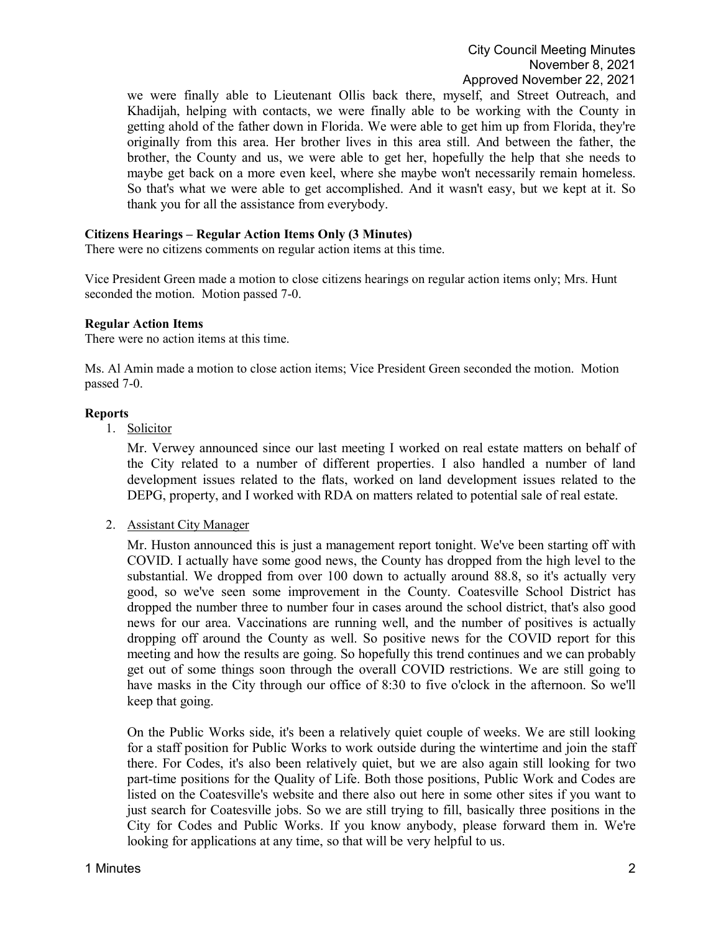we were finally able to Lieutenant Ollis back there, myself, and Street Outreach, and Khadijah, helping with contacts, we were finally able to be working with the County in getting ahold of the father down in Florida. We were able to get him up from Florida, they're originally from this area. Her brother lives in this area still. And between the father, the brother, the County and us, we were able to get her, hopefully the help that she needs to maybe get back on a more even keel, where she maybe won't necessarily remain homeless. So that's what we were able to get accomplished. And it wasn't easy, but we kept at it. So thank you for all the assistance from everybody.

### **Citizens Hearings – Regular Action Items Only (3 Minutes)**

There were no citizens comments on regular action items at this time.

Vice President Green made a motion to close citizens hearings on regular action items only; Mrs. Hunt seconded the motion. Motion passed 7-0.

#### **Regular Action Items**

There were no action items at this time.

Ms. Al Amin made a motion to close action items; Vice President Green seconded the motion. Motion passed 7-0.

#### **Reports**

1. Solicitor

Mr. Verwey announced since our last meeting I worked on real estate matters on behalf of the City related to a number of different properties. I also handled a number of land development issues related to the flats, worked on land development issues related to the DEPG, property, and I worked with RDA on matters related to potential sale of real estate.

2. Assistant City Manager

Mr. Huston announced this is just a management report tonight. We've been starting off with COVID. I actually have some good news, the County has dropped from the high level to the substantial. We dropped from over 100 down to actually around 88.8, so it's actually very good, so we've seen some improvement in the County. Coatesville School District has dropped the number three to number four in cases around the school district, that's also good news for our area. Vaccinations are running well, and the number of positives is actually dropping off around the County as well. So positive news for the COVID report for this meeting and how the results are going. So hopefully this trend continues and we can probably get out of some things soon through the overall COVID restrictions. We are still going to have masks in the City through our office of 8:30 to five o'clock in the afternoon. So we'll keep that going.

On the Public Works side, it's been a relatively quiet couple of weeks. We are still looking for a staff position for Public Works to work outside during the wintertime and join the staff there. For Codes, it's also been relatively quiet, but we are also again still looking for two part-time positions for the Quality of Life. Both those positions, Public Work and Codes are listed on the Coatesville's website and there also out here in some other sites if you want to just search for Coatesville jobs. So we are still trying to fill, basically three positions in the City for Codes and Public Works. If you know anybody, please forward them in. We're looking for applications at any time, so that will be very helpful to us.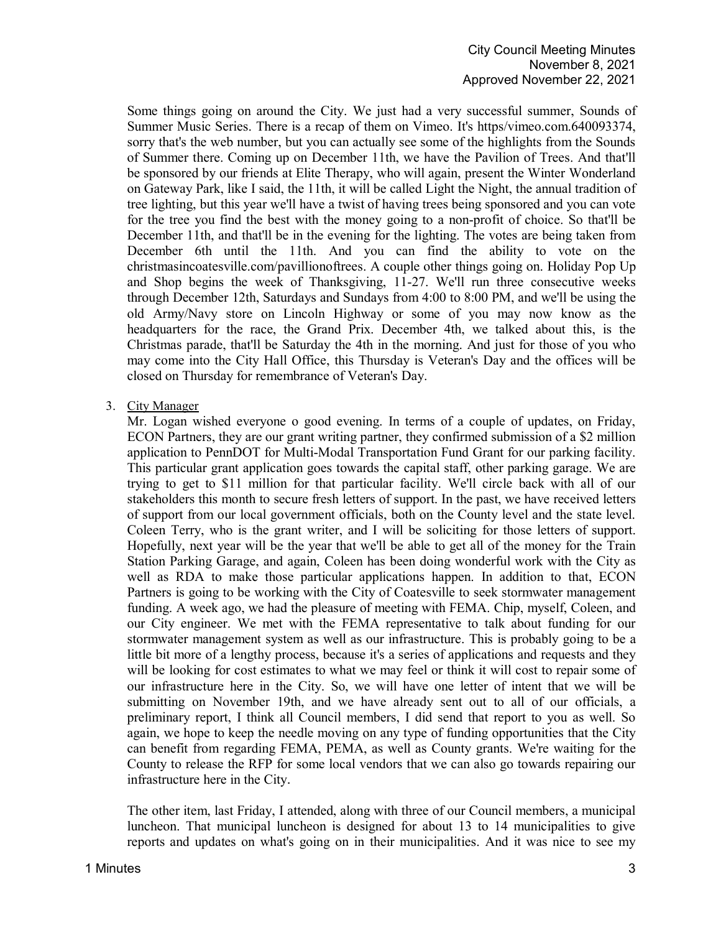Some things going on around the City. We just had a very successful summer, Sounds of Summer Music Series. There is a recap of them on Vimeo. It's https/vimeo.com.640093374, sorry that's the web number, but you can actually see some of the highlights from the Sounds of Summer there. Coming up on December 11th, we have the Pavilion of Trees. And that'll be sponsored by our friends at Elite Therapy, who will again, present the Winter Wonderland on Gateway Park, like I said, the 11th, it will be called Light the Night, the annual tradition of tree lighting, but this year we'll have a twist of having trees being sponsored and you can vote for the tree you find the best with the money going to a non-profit of choice. So that'll be December 11th, and that'll be in the evening for the lighting. The votes are being taken from December 6th until the 11th. And you can find the ability to vote on the christmasincoatesville.com/pavillionoftrees. A couple other things going on. Holiday Pop Up and Shop begins the week of Thanksgiving, 11-27. We'll run three consecutive weeks through December 12th, Saturdays and Sundays from 4:00 to 8:00 PM, and we'll be using the old Army/Navy store on Lincoln Highway or some of you may now know as the headquarters for the race, the Grand Prix. December 4th, we talked about this, is the Christmas parade, that'll be Saturday the 4th in the morning. And just for those of you who may come into the City Hall Office, this Thursday is Veteran's Day and the offices will be closed on Thursday for remembrance of Veteran's Day.

# 3. City Manager

Mr. Logan wished everyone o good evening. In terms of a couple of updates, on Friday, ECON Partners, they are our grant writing partner, they confirmed submission of a \$2 million application to PennDOT for Multi-Modal Transportation Fund Grant for our parking facility. This particular grant application goes towards the capital staff, other parking garage. We are trying to get to \$11 million for that particular facility. We'll circle back with all of our stakeholders this month to secure fresh letters of support. In the past, we have received letters of support from our local government officials, both on the County level and the state level. Coleen Terry, who is the grant writer, and I will be soliciting for those letters of support. Hopefully, next year will be the year that we'll be able to get all of the money for the Train Station Parking Garage, and again, Coleen has been doing wonderful work with the City as well as RDA to make those particular applications happen. In addition to that, ECON Partners is going to be working with the City of Coatesville to seek stormwater management funding. A week ago, we had the pleasure of meeting with FEMA. Chip, myself, Coleen, and our City engineer. We met with the FEMA representative to talk about funding for our stormwater management system as well as our infrastructure. This is probably going to be a little bit more of a lengthy process, because it's a series of applications and requests and they will be looking for cost estimates to what we may feel or think it will cost to repair some of our infrastructure here in the City. So, we will have one letter of intent that we will be submitting on November 19th, and we have already sent out to all of our officials, a preliminary report, I think all Council members, I did send that report to you as well. So again, we hope to keep the needle moving on any type of funding opportunities that the City can benefit from regarding FEMA, PEMA, as well as County grants. We're waiting for the County to release the RFP for some local vendors that we can also go towards repairing our infrastructure here in the City.

The other item, last Friday, I attended, along with three of our Council members, a municipal luncheon. That municipal luncheon is designed for about 13 to 14 municipalities to give reports and updates on what's going on in their municipalities. And it was nice to see my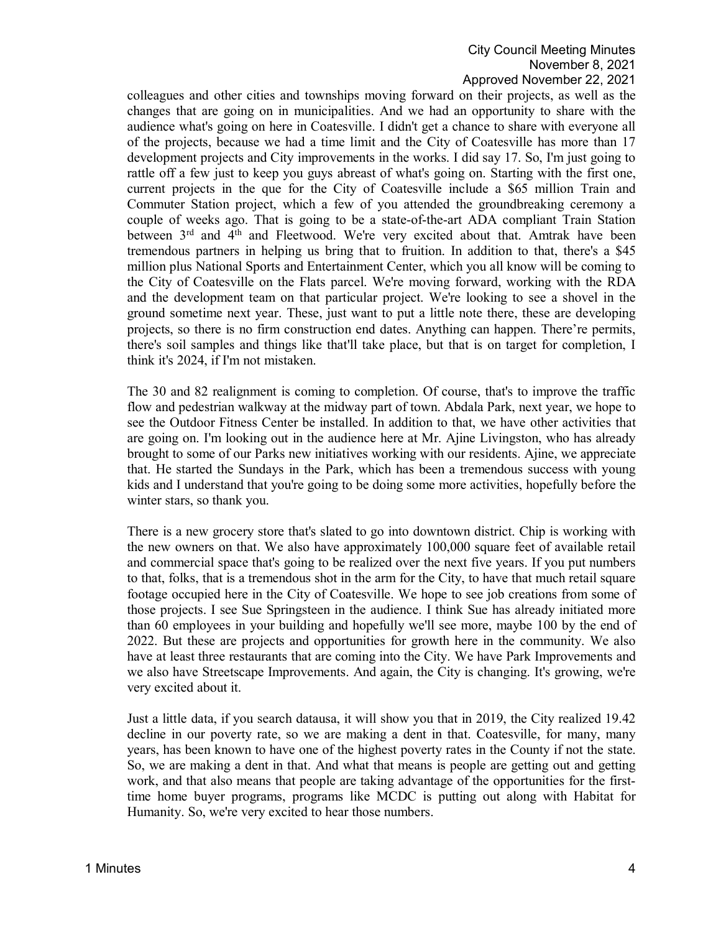# City Council Meeting Minutes November 8, 2021 Approved November 22, 2021

colleagues and other cities and townships moving forward on their projects, as well as the changes that are going on in municipalities. And we had an opportunity to share with the audience what's going on here in Coatesville. I didn't get a chance to share with everyone all of the projects, because we had a time limit and the City of Coatesville has more than 17 development projects and City improvements in the works. I did say 17. So, I'm just going to rattle off a few just to keep you guys abreast of what's going on. Starting with the first one, current projects in the que for the City of Coatesville include a \$65 million Train and Commuter Station project, which a few of you attended the groundbreaking ceremony a couple of weeks ago. That is going to be a state-of-the-art ADA compliant Train Station between 3<sup>rd</sup> and 4<sup>th</sup> and Fleetwood. We're very excited about that. Amtrak have been tremendous partners in helping us bring that to fruition. In addition to that, there's a \$45 million plus National Sports and Entertainment Center, which you all know will be coming to the City of Coatesville on the Flats parcel. We're moving forward, working with the RDA and the development team on that particular project. We're looking to see a shovel in the ground sometime next year. These, just want to put a little note there, these are developing projects, so there is no firm construction end dates. Anything can happen. There're permits, there's soil samples and things like that'll take place, but that is on target for completion, I think it's 2024, if I'm not mistaken.

The 30 and 82 realignment is coming to completion. Of course, that's to improve the traffic flow and pedestrian walkway at the midway part of town. Abdala Park, next year, we hope to see the Outdoor Fitness Center be installed. In addition to that, we have other activities that are going on. I'm looking out in the audience here at Mr. Ajine Livingston, who has already brought to some of our Parks new initiatives working with our residents. Ajine, we appreciate that. He started the Sundays in the Park, which has been a tremendous success with young kids and I understand that you're going to be doing some more activities, hopefully before the winter stars, so thank you.

There is a new grocery store that's slated to go into downtown district. Chip is working with the new owners on that. We also have approximately 100,000 square feet of available retail and commercial space that's going to be realized over the next five years. If you put numbers to that, folks, that is a tremendous shot in the arm for the City, to have that much retail square footage occupied here in the City of Coatesville. We hope to see job creations from some of those projects. I see Sue Springsteen in the audience. I think Sue has already initiated more than 60 employees in your building and hopefully we'll see more, maybe 100 by the end of 2022. But these are projects and opportunities for growth here in the community. We also have at least three restaurants that are coming into the City. We have Park Improvements and we also have Streetscape Improvements. And again, the City is changing. It's growing, we're very excited about it.

Just a little data, if you search datausa, it will show you that in 2019, the City realized 19.42 decline in our poverty rate, so we are making a dent in that. Coatesville, for many, many years, has been known to have one of the highest poverty rates in the County if not the state. So, we are making a dent in that. And what that means is people are getting out and getting work, and that also means that people are taking advantage of the opportunities for the firsttime home buyer programs, programs like MCDC is putting out along with Habitat for Humanity. So, we're very excited to hear those numbers.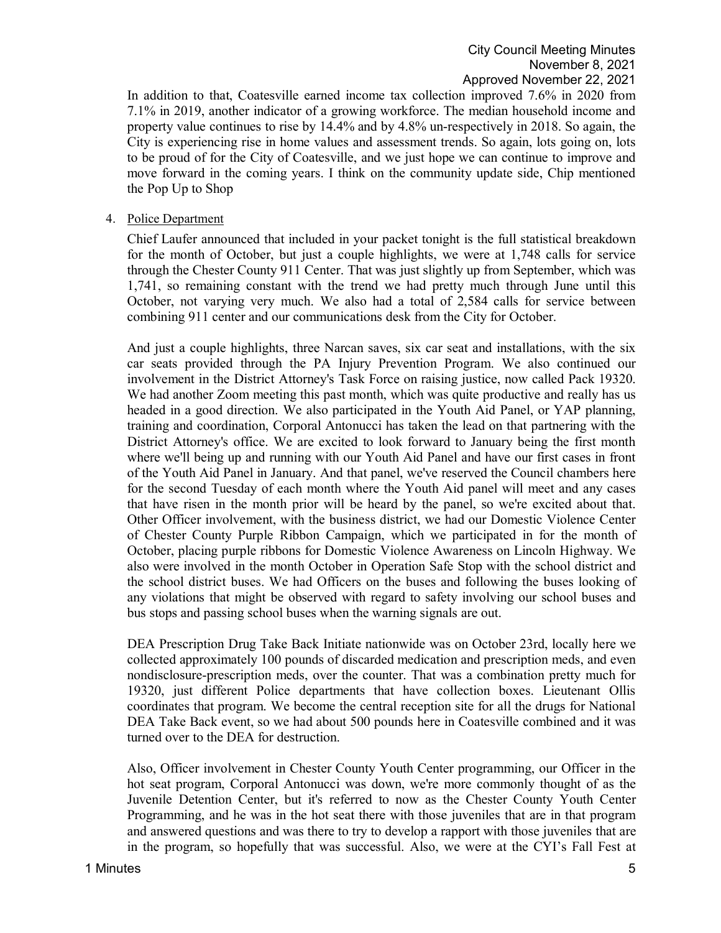In addition to that, Coatesville earned income tax collection improved 7.6% in 2020 from 7.1% in 2019, another indicator of a growing workforce. The median household income and property value continues to rise by 14.4% and by 4.8% un-respectively in 2018. So again, the City is experiencing rise in home values and assessment trends. So again, lots going on, lots to be proud of for the City of Coatesville, and we just hope we can continue to improve and move forward in the coming years. I think on the community update side, Chip mentioned the Pop Up to Shop

### 4. Police Department

Chief Laufer announced that included in your packet tonight is the full statistical breakdown for the month of October, but just a couple highlights, we were at 1,748 calls for service through the Chester County 911 Center. That was just slightly up from September, which was 1,741, so remaining constant with the trend we had pretty much through June until this October, not varying very much. We also had a total of 2,584 calls for service between combining 911 center and our communications desk from the City for October.

And just a couple highlights, three Narcan saves, six car seat and installations, with the six car seats provided through the PA Injury Prevention Program. We also continued our involvement in the District Attorney's Task Force on raising justice, now called Pack 19320. We had another Zoom meeting this past month, which was quite productive and really has us headed in a good direction. We also participated in the Youth Aid Panel, or YAP planning, training and coordination, Corporal Antonucci has taken the lead on that partnering with the District Attorney's office. We are excited to look forward to January being the first month where we'll being up and running with our Youth Aid Panel and have our first cases in front of the Youth Aid Panel in January. And that panel, we've reserved the Council chambers here for the second Tuesday of each month where the Youth Aid panel will meet and any cases that have risen in the month prior will be heard by the panel, so we're excited about that. Other Officer involvement, with the business district, we had our Domestic Violence Center of Chester County Purple Ribbon Campaign, which we participated in for the month of October, placing purple ribbons for Domestic Violence Awareness on Lincoln Highway. We also were involved in the month October in Operation Safe Stop with the school district and the school district buses. We had Officers on the buses and following the buses looking of any violations that might be observed with regard to safety involving our school buses and bus stops and passing school buses when the warning signals are out.

DEA Prescription Drug Take Back Initiate nationwide was on October 23rd, locally here we collected approximately 100 pounds of discarded medication and prescription meds, and even nondisclosure-prescription meds, over the counter. That was a combination pretty much for 19320, just different Police departments that have collection boxes. Lieutenant Ollis coordinates that program. We become the central reception site for all the drugs for National DEA Take Back event, so we had about 500 pounds here in Coatesville combined and it was turned over to the DEA for destruction.

Also, Officer involvement in Chester County Youth Center programming, our Officer in the hot seat program, Corporal Antonucci was down, we're more commonly thought of as the Juvenile Detention Center, but it's referred to now as the Chester County Youth Center Programming, and he was in the hot seat there with those juveniles that are in that program and answered questions and was there to try to develop a rapport with those juveniles that are in the program, so hopefully that was successful. Also, we were at the CYI's Fall Fest at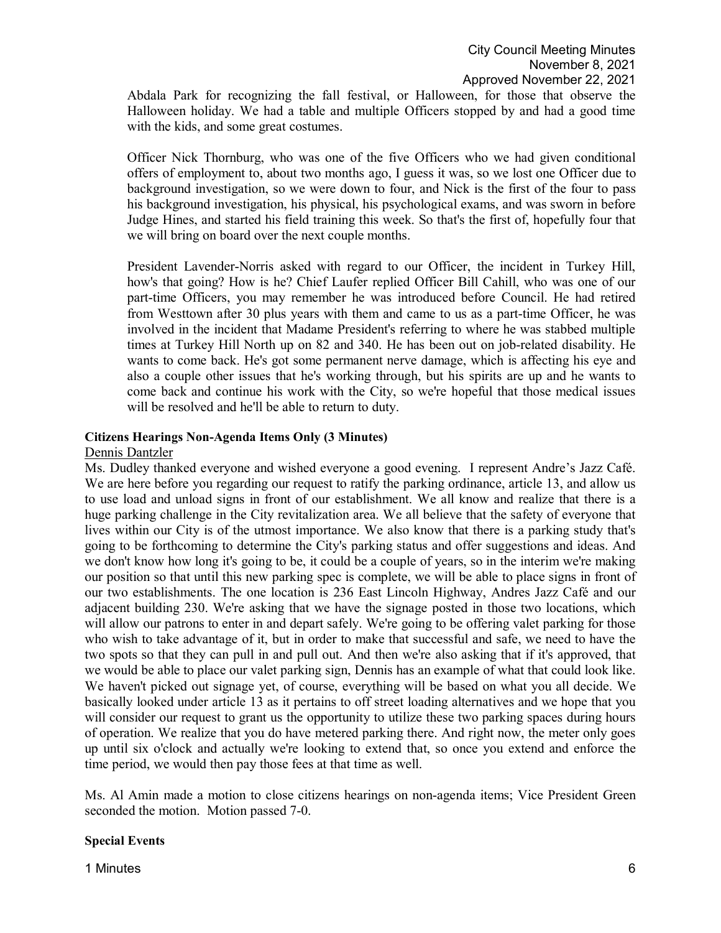Abdala Park for recognizing the fall festival, or Halloween, for those that observe the Halloween holiday. We had a table and multiple Officers stopped by and had a good time with the kids, and some great costumes.

Officer Nick Thornburg, who was one of the five Officers who we had given conditional offers of employment to, about two months ago, I guess it was, so we lost one Officer due to background investigation, so we were down to four, and Nick is the first of the four to pass his background investigation, his physical, his psychological exams, and was sworn in before Judge Hines, and started his field training this week. So that's the first of, hopefully four that we will bring on board over the next couple months.

President Lavender-Norris asked with regard to our Officer, the incident in Turkey Hill, how's that going? How is he? Chief Laufer replied Officer Bill Cahill, who was one of our part-time Officers, you may remember he was introduced before Council. He had retired from Westtown after 30 plus years with them and came to us as a part-time Officer, he was involved in the incident that Madame President's referring to where he was stabbed multiple times at Turkey Hill North up on 82 and 340. He has been out on job-related disability. He wants to come back. He's got some permanent nerve damage, which is affecting his eye and also a couple other issues that he's working through, but his spirits are up and he wants to come back and continue his work with the City, so we're hopeful that those medical issues will be resolved and he'll be able to return to duty.

# **Citizens Hearings Non-Agenda Items Only (3 Minutes)**

### Dennis Dantzler

Ms. Dudley thanked everyone and wished everyone a good evening. I represent Andre's Jazz Café. We are here before you regarding our request to ratify the parking ordinance, article 13, and allow us to use load and unload signs in front of our establishment. We all know and realize that there is a huge parking challenge in the City revitalization area. We all believe that the safety of everyone that lives within our City is of the utmost importance. We also know that there is a parking study that's going to be forthcoming to determine the City's parking status and offer suggestions and ideas. And we don't know how long it's going to be, it could be a couple of years, so in the interim we're making our position so that until this new parking spec is complete, we will be able to place signs in front of our two establishments. The one location is 236 East Lincoln Highway, Andres Jazz Café and our adjacent building 230. We're asking that we have the signage posted in those two locations, which will allow our patrons to enter in and depart safely. We're going to be offering valet parking for those who wish to take advantage of it, but in order to make that successful and safe, we need to have the two spots so that they can pull in and pull out. And then we're also asking that if it's approved, that we would be able to place our valet parking sign, Dennis has an example of what that could look like. We haven't picked out signage yet, of course, everything will be based on what you all decide. We basically looked under article 13 as it pertains to off street loading alternatives and we hope that you will consider our request to grant us the opportunity to utilize these two parking spaces during hours of operation. We realize that you do have metered parking there. And right now, the meter only goes up until six o'clock and actually we're looking to extend that, so once you extend and enforce the time period, we would then pay those fees at that time as well.

Ms. Al Amin made a motion to close citizens hearings on non-agenda items; Vice President Green seconded the motion. Motion passed 7-0.

### **Special Events**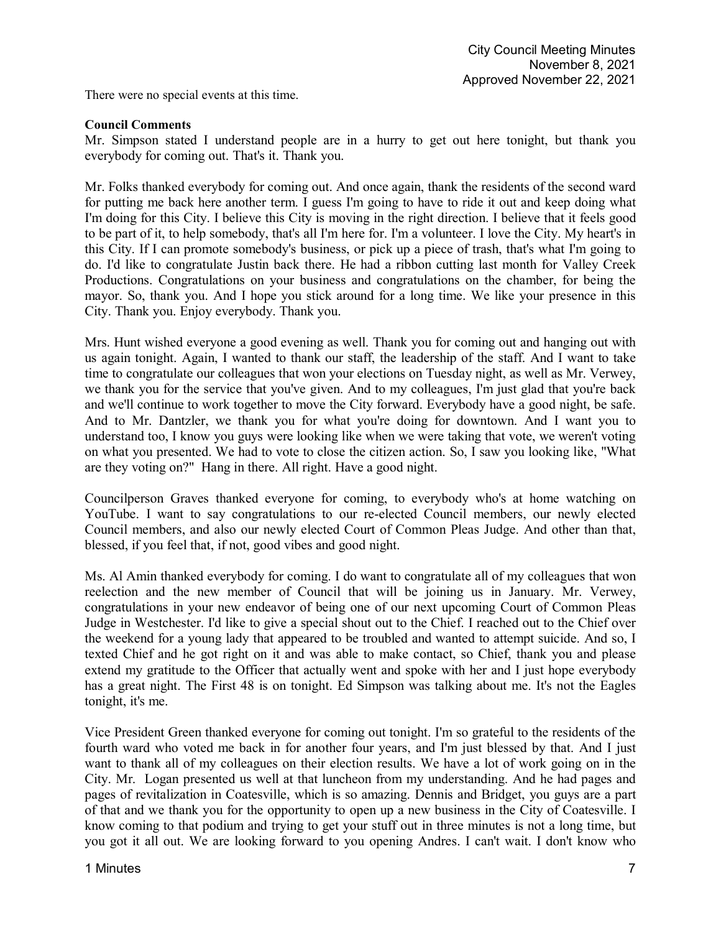There were no special events at this time.

### **Council Comments**

Mr. Simpson stated I understand people are in a hurry to get out here tonight, but thank you everybody for coming out. That's it. Thank you.

Mr. Folks thanked everybody for coming out. And once again, thank the residents of the second ward for putting me back here another term. I guess I'm going to have to ride it out and keep doing what I'm doing for this City. I believe this City is moving in the right direction. I believe that it feels good to be part of it, to help somebody, that's all I'm here for. I'm a volunteer. I love the City. My heart's in this City. If I can promote somebody's business, or pick up a piece of trash, that's what I'm going to do. I'd like to congratulate Justin back there. He had a ribbon cutting last month for Valley Creek Productions. Congratulations on your business and congratulations on the chamber, for being the mayor. So, thank you. And I hope you stick around for a long time. We like your presence in this City. Thank you. Enjoy everybody. Thank you.

Mrs. Hunt wished everyone a good evening as well. Thank you for coming out and hanging out with us again tonight. Again, I wanted to thank our staff, the leadership of the staff. And I want to take time to congratulate our colleagues that won your elections on Tuesday night, as well as Mr. Verwey, we thank you for the service that you've given. And to my colleagues, I'm just glad that you're back and we'll continue to work together to move the City forward. Everybody have a good night, be safe. And to Mr. Dantzler, we thank you for what you're doing for downtown. And I want you to understand too, I know you guys were looking like when we were taking that vote, we weren't voting on what you presented. We had to vote to close the citizen action. So, I saw you looking like, "What are they voting on?" Hang in there. All right. Have a good night.

Councilperson Graves thanked everyone for coming, to everybody who's at home watching on YouTube. I want to say congratulations to our re-elected Council members, our newly elected Council members, and also our newly elected Court of Common Pleas Judge. And other than that, blessed, if you feel that, if not, good vibes and good night.

Ms. Al Amin thanked everybody for coming. I do want to congratulate all of my colleagues that won reelection and the new member of Council that will be joining us in January. Mr. Verwey, congratulations in your new endeavor of being one of our next upcoming Court of Common Pleas Judge in Westchester. I'd like to give a special shout out to the Chief. I reached out to the Chief over the weekend for a young lady that appeared to be troubled and wanted to attempt suicide. And so, I texted Chief and he got right on it and was able to make contact, so Chief, thank you and please extend my gratitude to the Officer that actually went and spoke with her and I just hope everybody has a great night. The First 48 is on tonight. Ed Simpson was talking about me. It's not the Eagles tonight, it's me.

Vice President Green thanked everyone for coming out tonight. I'm so grateful to the residents of the fourth ward who voted me back in for another four years, and I'm just blessed by that. And I just want to thank all of my colleagues on their election results. We have a lot of work going on in the City. Mr. Logan presented us well at that luncheon from my understanding. And he had pages and pages of revitalization in Coatesville, which is so amazing. Dennis and Bridget, you guys are a part of that and we thank you for the opportunity to open up a new business in the City of Coatesville. I know coming to that podium and trying to get your stuff out in three minutes is not a long time, but you got it all out. We are looking forward to you opening Andres. I can't wait. I don't know who